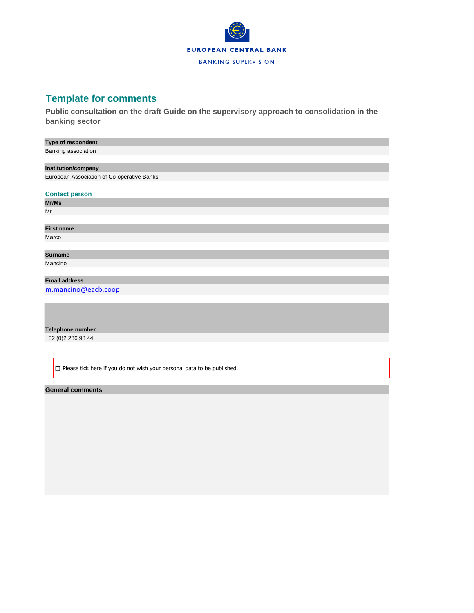

# **Template for comments**

**Public consultation on the draft Guide on the supervisory approach to consolidation in the banking sector**

## **Type of respondent**

Banking association

### **Institution/company**

European Association of Co-operative Banks

**Contact person**

**Mr/Ms** Mr

## **First name** Marco

**Surname** Mancino

## **Email address**

[m.mancino@eacb.coop](mailto:m.mancino@eacb.coop) 

#### **Telephone number**

+32 (0)2 286 98 44

 $\square$  Please tick here if you do not wish your personal data to be published.

### **General comments**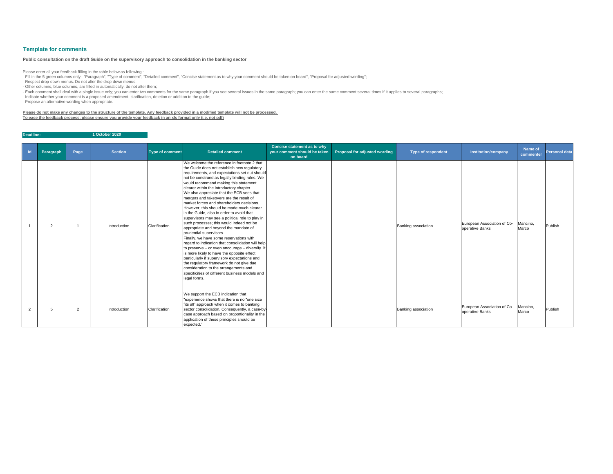| $\mathsf{Id}$ | Paragraph      | Page           | <b>Section</b> | <b>Type of comment</b> | <b>Detailed comment</b>                                                                                                                                                                                                                                                                                                                                                                                                                                                                                                                                                                                                                                                                                                                                                                                                                                                                                                                                                                                                                                                                     | <b>Concise statement as to why</b><br>your comment should be taken<br>on board | <b>Proposal for adjusted wording</b> | <b>Type of respondent</b> | <b>Institution/company</b>                     | Name of<br>commenter | <b>Personal data</b> |
|---------------|----------------|----------------|----------------|------------------------|---------------------------------------------------------------------------------------------------------------------------------------------------------------------------------------------------------------------------------------------------------------------------------------------------------------------------------------------------------------------------------------------------------------------------------------------------------------------------------------------------------------------------------------------------------------------------------------------------------------------------------------------------------------------------------------------------------------------------------------------------------------------------------------------------------------------------------------------------------------------------------------------------------------------------------------------------------------------------------------------------------------------------------------------------------------------------------------------|--------------------------------------------------------------------------------|--------------------------------------|---------------------------|------------------------------------------------|----------------------|----------------------|
|               | $\overline{2}$ |                | Introduction   | Clarification          | We welcome the reference in footnote 2 that<br>the Guide does not establish new regulatory<br>requirements, and expectations set out should<br>not be construed as legally binding rules. We<br>would recommend making this statement<br>clearer within the introductory chapter.<br>We also appreciate that the ECB sees that<br>mergers and takeovers are the result of<br>market forces and shareholders decisions.<br>However, this should be made much clearer<br>in the Guide, also in order to avoid that<br>supervisors may see a political role to play in<br>such processes; this would indeed not be<br>appropriate and beyond the mandate of<br>prudential supervisors.<br>Finally, we have some reservations with<br>regard to indication that consolidation will help<br>to preserve – or even encourage – diversity. It<br>is more likely to have the opposite effect<br>particularly if supervisory expectations and<br>the regulatory framework do not give due<br>consideration to the arrangements and<br>specificities of different business models and<br>legal forms. |                                                                                |                                      | Banking association       | European Association of Co-<br>operative Banks | Mancino,<br>Marco    | Publish              |
|               | 5              | $\overline{2}$ | Introduction   | Clarification          | We support the ECB indication that<br>"experience shows that there is no "one size<br>fits all" approach when it comes to banking<br>sector consolidation. Consequently, a case-by-<br>case approach based on proportionality in the<br>application of these principles should be<br>expected."                                                                                                                                                                                                                                                                                                                                                                                                                                                                                                                                                                                                                                                                                                                                                                                             |                                                                                |                                      | Banking association       | European Association of Co-<br>operative Banks | Mancino,<br>Marco    | Publish              |

- Fill in the 5 green columns only: "Paragraph", "Type of comment", "Detailed comment", "Concise statement as to why your comment should be taken on board", "Proposal for adjusted wording"; - Respect drop-down menus. Do not alter the drop-down menus.

**Deadline: 1 October 2020**

# **Template for comments**

Please enter all your feedback filling in the table below as following :

- Other columns, blue columns, are filled in automatically; do not alter them;

- Each comment shall deal with a single issue only; you can enter two comments for the same paragraph if you see several issues in the same paragraph; you can enter the same comment several times if it applies to several p

- Indicate whether your comment is a proposed amendment, clarification, deletion or addition to the guide;

- Propose an alternative wording when appropriate.

**Please do not make any changes to the structure of the template. Any feedback provided in a modified template will not be processed. To ease the feedback process, please ensure you provide your feedback in an xls format only (i.e. not pdf)**

## **Public consultation on the draft Guide on the supervisory approach to consolidation in the banking sector**